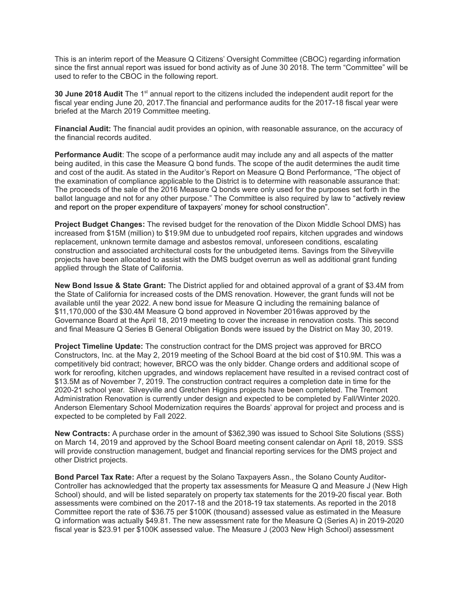This is an interim report of the Measure Q Citizens' Oversight Committee (CBOC) regarding information since the first annual report was issued for bond activity as of June 30 2018. The term "Committee" will be used to refer to the CBOC in the following report.

**30 June 2018 Audit** The 1<sup>st</sup> annual report to the citizens included the independent audit report for the fiscal year ending June 20, 2017.The financial and performance audits for the 2017-18 fiscal year were briefed at the March 2019 Committee meeting.

**Financial Audit:** The financial audit provides an opinion, with reasonable assurance, on the accuracy of the financial records audited.

**Performance Audit**: The scope of a performance audit may include any and all aspects of the matter being audited, in this case the Measure Q bond funds. The scope of the audit determines the audit time and cost of the audit. As stated in the Auditor's Report on Measure Q Bond Performance, "The object of the examination of compliance applicable to the District is to determine with reasonable assurance that: The proceeds of the sale of the 2016 Measure Q bonds were only used for the purposes set forth in the ballot language and not for any other purpose." The Committee is also required by law to "actively review and report on the proper expenditure of taxpayers' money for school construction".

**Project Budget Changes:** The revised budget for the renovation of the Dixon Middle School DMS) has increased from \$15M (million) to \$19.9M due to unbudgeted roof repairs, kitchen upgrades and windows replacement, unknown termite damage and asbestos removal, unforeseen conditions, escalating construction and associated architectural costs for the unbudgeted items. Savings from the Silveyville projects have been allocated to assist with the DMS budget overrun as well as additional grant funding applied through the State of California.

**New Bond Issue & State Grant:** The District applied for and obtained approval of a grant of \$3.4M from the State of California for increased costs of the DMS renovation. However, the grant funds will not be available until the year 2022. A new bond issue for Measure Q including the remaining balance of \$11,170,000 of the \$30.4M Measure Q bond approved in November 2016was approved by the Governance Board at the April 18, 2019 meeting to cover the increase in renovation costs. This second and final Measure Q Series B General Obligation Bonds were issued by the District on May 30, 2019.

**Project Timeline Update:** The construction contract for the DMS project was approved for BRCO Constructors, Inc. at the May 2, 2019 meeting of the School Board at the bid cost of \$10.9M. This was a competitively bid contract; however, BRCO was the only bidder. Change orders and additional scope of work for reroofing, kitchen upgrades, and windows replacement have resulted in a revised contract cost of \$13.5M as of November 7, 2019. The construction contract requires a completion date in time for the 2020-21 school year. Silveyville and Gretchen Higgins projects have been completed. The Tremont Administration Renovation is currently under design and expected to be completed by Fall/Winter 2020. Anderson Elementary School Modernization requires the Boards' approval for project and process and is expected to be completed by Fall 2022.

**New Contracts:** A purchase order in the amount of \$362,390 was issued to School Site Solutions (SSS) on March 14, 2019 and approved by the School Board meeting consent calendar on April 18, 2019. SSS will provide construction management, budget and financial reporting services for the DMS project and other District projects.

**Bond Parcel Tax Rate:** After a request by the Solano Taxpayers Assn., the Solano County Auditor-Controller has acknowledged that the property tax assessments for Measure Q and Measure J (New High School) should, and will be listed separately on property tax statements for the 2019-20 fiscal year. Both assessments were combined on the 2017-18 and the 2018-19 tax statements. As reported in the 2018 Committee report the rate of \$36.75 per \$100K (thousand) assessed value as estimated in the Measure Q information was actually \$49.81. The new assessment rate for the Measure Q (Series A) in 2019-2020 fiscal year is \$23.91 per \$100K assessed value. The Measure J (2003 New High School) assessment